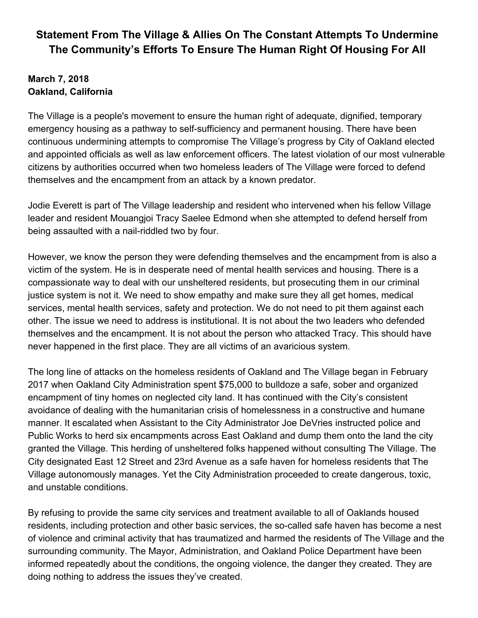## **Statement From The Village & Allies On The Constant Attempts To Undermine The Community's Efforts To Ensure The Human Right Of Housing For All**

## **March 7, 2018 Oakland, California**

The Village is a people's movement to ensure the human right of adequate, dignified, temporary emergency housing as a pathway to self-sufficiency and permanent housing. There have been continuous undermining attempts to compromise The Village's progress by City of Oakland elected and appointed officials as well as law enforcement officers. The latest violation of our most vulnerable citizens by authorities occurred when two homeless leaders of The Village were forced to defend themselves and the encampment from an attack by a known predator.

Jodie Everett is part of The Village leadership and resident who intervened when his fellow Village leader and resident Mouangjoi Tracy Saelee Edmond when she attempted to defend herself from being assaulted with a nail-riddled two by four.

However, we know the person they were defending themselves and the encampment from is also a victim of the system. He is in desperate need of mental health services and housing. There is a compassionate way to deal with our unsheltered residents, but prosecuting them in our criminal justice system is not it. We need to show empathy and make sure they all get homes, medical services, mental health services, safety and protection. We do not need to pit them against each other. The issue we need to address is institutional. It is not about the two leaders who defended themselves and the encampment. It is not about the person who attacked Tracy. This should have never happened in the first place. They are all victims of an avaricious system.

The long line of attacks on the homeless residents of Oakland and The Village began in February 2017 when Oakland City Administration spent \$75,000 to bulldoze a safe, sober and organized encampment of tiny homes on neglected city land. It has continued with the City's consistent avoidance of dealing with the humanitarian crisis of homelessness in a constructive and humane manner. It escalated when Assistant to the City Administrator Joe DeVries instructed police and Public Works to herd six encampments across East Oakland and dump them onto the land the city granted the Village. This herding of unsheltered folks happened without consulting The Village. The City designated East 12 Street and 23rd Avenue as a safe haven for homeless residents that The Village autonomously manages. Yet the City Administration proceeded to create dangerous, toxic, and unstable conditions.

By refusing to provide the same city services and treatment available to all of Oaklands housed residents, including protection and other basic services, the so-called safe haven has become a nest of violence and criminal activity that has traumatized and harmed the residents of The Village and the surrounding community. The Mayor, Administration, and Oakland Police Department have been informed repeatedly about the conditions, the ongoing violence, the danger they created. They are doing nothing to address the issues they've created.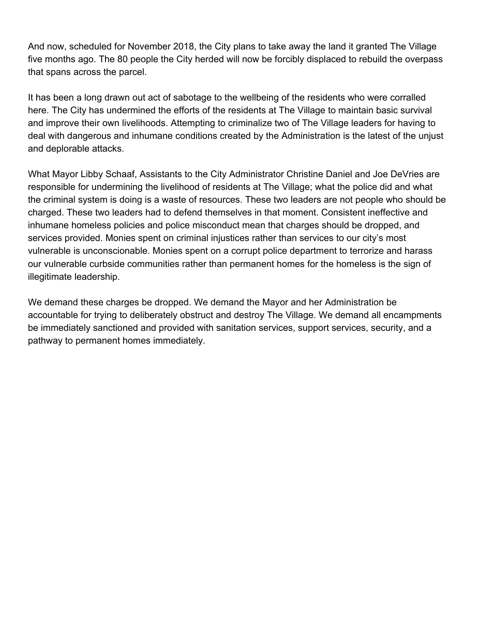And now, scheduled for November 2018, the City plans to take away the land it granted The Village five months ago. The 80 people the City herded will now be forcibly displaced to rebuild the overpass that spans across the parcel.

It has been a long drawn out act of sabotage to the wellbeing of the residents who were corralled here. The City has undermined the efforts of the residents at The Village to maintain basic survival and improve their own livelihoods. Attempting to criminalize two of The Village leaders for having to deal with dangerous and inhumane conditions created by the Administration is the latest of the unjust and deplorable attacks.

What Mayor Libby Schaaf, Assistants to the City Administrator Christine Daniel and Joe DeVries are responsible for undermining the livelihood of residents at The Village; what the police did and what the criminal system is doing is a waste of resources. These two leaders are not people who should be charged. These two leaders had to defend themselves in that moment. Consistent ineffective and inhumane homeless policies and police misconduct mean that charges should be dropped, and services provided. Monies spent on criminal injustices rather than services to our city's most vulnerable is unconscionable. Monies spent on a corrupt police department to terrorize and harass our vulnerable curbside communities rather than permanent homes for the homeless is the sign of illegitimate leadership.

We demand these charges be dropped. We demand the Mayor and her Administration be accountable for trying to deliberately obstruct and destroy The Village. We demand all encampments be immediately sanctioned and provided with sanitation services, support services, security, and a pathway to permanent homes immediately.